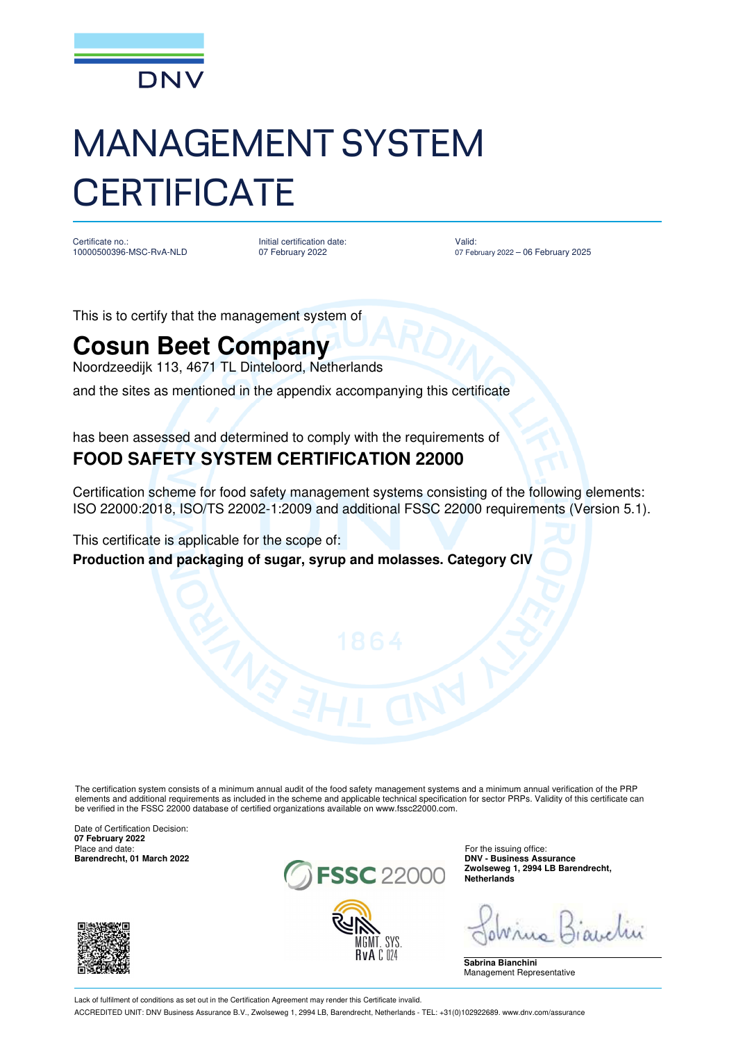

## MANAGEMENT SYSTEM **CERTIFICATE**

Certificate no.: 10000500396-MSC-RvA-NLD Initial certification date: 07 February 2022

Valid: 07 February 2022 – 06 February 2025

This is to certify that the management system of

## **Cosun Beet Company**

Noordzeedijk 113, 4671 TL Dinteloord, Netherlands

and the sites as mentioned in the appendix accompanying this certificate

has been assessed and determined to comply with the requirements of **FOOD SAFETY SYSTEM CERTIFICATION 22000**

Certification scheme for food safety management systems consisting of the following elements: ISO 22000:2018, ISO/TS 22002-1:2009 and additional FSSC 22000 requirements (Version 5.1).

This certificate is applicable for the scope of:

**Production and packaging of sugar, syrup and molasses. Category CIV**

The certification system consists of a minimum annual audit of the food safety management systems and a minimum annual verification of the PRP elements and additional requirements as included in the scheme and applicable technical specification for sector PRPs. Validity of this certificate can be verified in the FSSC 22000 database of certified organizations available on www.fssc22000.com.

Date of Certification Decision: **07 February 2022** Place and date: For the issuing office:<br> **Barendrecht.** 01 March 2022





**Zwolseweg 1, 2994 LB Barendrecht, Netherlands**

**Sabrina Bianchini** Management Representative

Lack of fulfilment of conditions as set out in the Certification Agreement may render this Certificate invalid. ACCREDITED UNIT: DNV Business Assurance B.V., Zwolseweg 1, 2994 LB, Barendrecht, Netherlands - TEL: +31(0)102922689. www.dnv.com/assurance